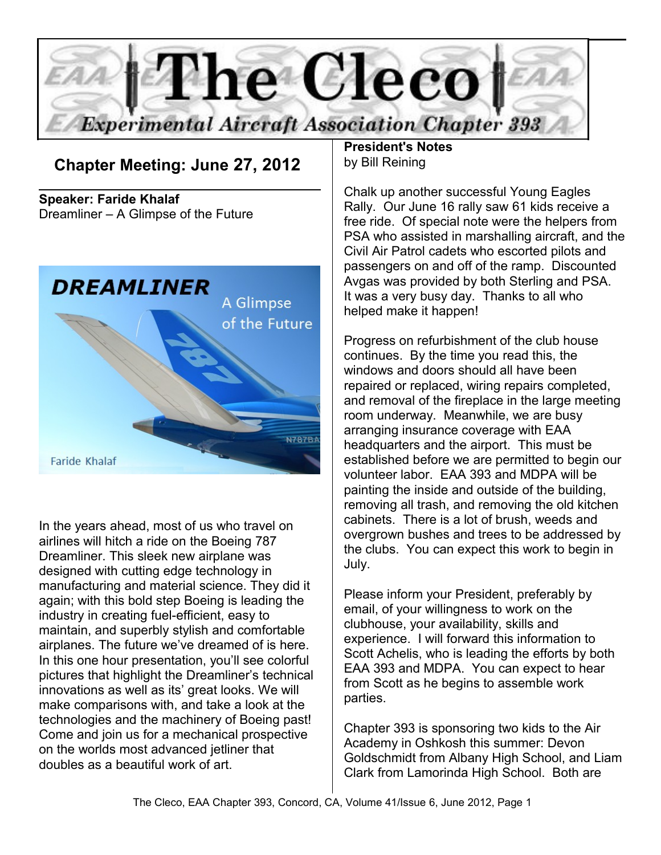

**Chapter Meeting: June 27, 2012** 

**Speaker: Faride Khalaf** Dreamliner – A Glimpse of the Future



In the years ahead, most of us who travel on airlines will hitch a ride on the Boeing 787 Dreamliner. This sleek new airplane was designed with cutting edge technology in manufacturing and material science. They did it again; with this bold step Boeing is leading the industry in creating fuel-efficient, easy to maintain, and superbly stylish and comfortable airplanes. The future we've dreamed of is here. In this one hour presentation, you'll see colorful pictures that highlight the Dreamliner's technical innovations as well as its' great looks. We will make comparisons with, and take a look at the technologies and the machinery of Boeing past! Come and join us for a mechanical prospective on the worlds most advanced jetliner that doubles as a beautiful work of art.

**President's Notes** by Bill Reining

Chalk up another successful Young Eagles Rally. Our June 16 rally saw 61 kids receive a free ride. Of special note were the helpers from PSA who assisted in marshalling aircraft, and the Civil Air Patrol cadets who escorted pilots and passengers on and off of the ramp. Discounted Avgas was provided by both Sterling and PSA. It was a very busy day. Thanks to all who helped make it happen!

Progress on refurbishment of the club house continues. By the time you read this, the windows and doors should all have been repaired or replaced, wiring repairs completed, and removal of the fireplace in the large meeting room underway. Meanwhile, we are busy arranging insurance coverage with EAA headquarters and the airport. This must be established before we are permitted to begin our volunteer labor. EAA 393 and MDPA will be painting the inside and outside of the building, removing all trash, and removing the old kitchen cabinets. There is a lot of brush, weeds and overgrown bushes and trees to be addressed by the clubs. You can expect this work to begin in July.

Please inform your President, preferably by email, of your willingness to work on the clubhouse, your availability, skills and experience. I will forward this information to Scott Achelis, who is leading the efforts by both EAA 393 and MDPA. You can expect to hear from Scott as he begins to assemble work parties.

Chapter 393 is sponsoring two kids to the Air Academy in Oshkosh this summer: Devon Goldschmidt from Albany High School, and Liam Clark from Lamorinda High School. Both are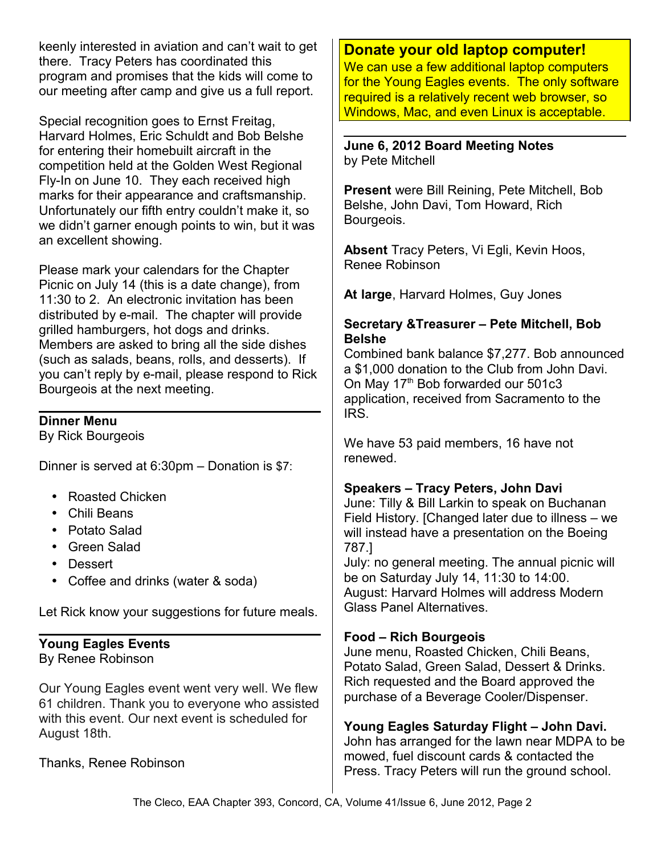keenly interested in aviation and can't wait to get there. Tracy Peters has coordinated this program and promises that the kids will come to our meeting after camp and give us a full report.

Special recognition goes to Ernst Freitag, Harvard Holmes, Eric Schuldt and Bob Belshe for entering their homebuilt aircraft in the competition held at the Golden West Regional Fly-In on June 10. They each received high marks for their appearance and craftsmanship. Unfortunately our fifth entry couldn't make it, so we didn't garner enough points to win, but it was an excellent showing.

Please mark your calendars for the Chapter Picnic on July 14 (this is a date change), from 11:30 to 2. An electronic invitation has been distributed by e-mail. The chapter will provide grilled hamburgers, hot dogs and drinks. Members are asked to bring all the side dishes (such as salads, beans, rolls, and desserts). If you can't reply by e-mail, please respond to Rick Bourgeois at the next meeting.

# **Dinner Menu**

By Rick Bourgeois

Dinner is served at 6:30pm – Donation is \$7:

- Roasted Chicken
- Chili Beans
- Potato Salad
- Green Salad
- Dessert
- Coffee and drinks (water & soda)

Let Rick know your suggestions for future meals.

#### **Young Eagles Events** By Renee Robinson

Our Young Eagles event went very well. We flew 61 children. Thank you to everyone who assisted with this event. Our next event is scheduled for August 18th.

# Thanks, Renee Robinson

# **Donate your old laptop computer!**

We can use a few additional laptop computers for the Young Eagles events. The only software required is a relatively recent web browser, so Windows, Mac, and even Linux is acceptable.

**June 6, 2012 Board Meeting Notes** by Pete Mitchell

**Present** were Bill Reining, Pete Mitchell, Bob Belshe, John Davi, Tom Howard, Rich Bourgeois.

**Absent** Tracy Peters, Vi Egli, Kevin Hoos, Renee Robinson

**At large**, Harvard Holmes, Guy Jones

## **Secretary &Treasurer – Pete Mitchell, Bob Belshe**

Combined bank balance \$7,277. Bob announced a \$1,000 donation to the Club from John Davi. On May 17<sup>th</sup> Bob forwarded our 501c3 application, received from Sacramento to the IRS.

We have 53 paid members, 16 have not renewed.

# **Speakers – Tracy Peters, John Davi**

June: Tilly & Bill Larkin to speak on Buchanan Field History. [Changed later due to illness – we will instead have a presentation on the Boeing 787.]

July: no general meeting. The annual picnic will be on Saturday July 14, 11:30 to 14:00. August: Harvard Holmes will address Modern Glass Panel Alternatives.

# **Food – Rich Bourgeois**

June menu, Roasted Chicken, Chili Beans, Potato Salad, Green Salad, Dessert & Drinks. Rich requested and the Board approved the purchase of a Beverage Cooler/Dispenser.

**Young Eagles Saturday Flight – John Davi.** John has arranged for the lawn near MDPA to be mowed, fuel discount cards & contacted the Press. Tracy Peters will run the ground school.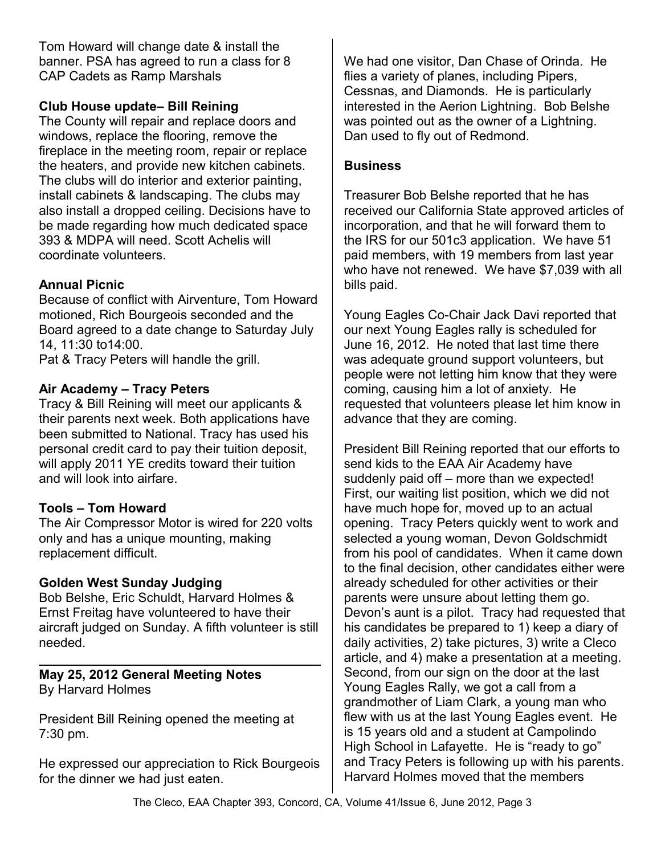Tom Howard will change date & install the banner. PSA has agreed to run a class for 8 CAP Cadets as Ramp Marshals

# **Club House update– Bill Reining**

The County will repair and replace doors and windows, replace the flooring, remove the fireplace in the meeting room, repair or replace the heaters, and provide new kitchen cabinets. The clubs will do interior and exterior painting, install cabinets & landscaping. The clubs may also install a dropped ceiling. Decisions have to be made regarding how much dedicated space 393 & MDPA will need. Scott Achelis will coordinate volunteers.

### **Annual Picnic**

Because of conflict with Airventure, Tom Howard motioned, Rich Bourgeois seconded and the Board agreed to a date change to Saturday July 14, 11:30 to14:00.

Pat & Tracy Peters will handle the grill.

### **Air Academy – Tracy Peters**

Tracy & Bill Reining will meet our applicants & their parents next week. Both applications have been submitted to National. Tracy has used his personal credit card to pay their tuition deposit, will apply 2011 YE credits toward their tuition and will look into airfare.

#### **Tools – Tom Howard**

The Air Compressor Motor is wired for 220 volts only and has a unique mounting, making replacement difficult.

#### **Golden West Sunday Judging**

Bob Belshe, Eric Schuldt, Harvard Holmes & Ernst Freitag have volunteered to have their aircraft judged on Sunday. A fifth volunteer is still needed.

### **May 25, 2012 General Meeting Notes** By Harvard Holmes

President Bill Reining opened the meeting at 7:30 pm.

He expressed our appreciation to Rick Bourgeois for the dinner we had just eaten.

We had one visitor, Dan Chase of Orinda. He flies a variety of planes, including Pipers, Cessnas, and Diamonds. He is particularly interested in the Aerion Lightning. Bob Belshe was pointed out as the owner of a Lightning. Dan used to fly out of Redmond.

#### **Business**

Treasurer Bob Belshe reported that he has received our California State approved articles of incorporation, and that he will forward them to the IRS for our 501c3 application. We have 51 paid members, with 19 members from last year who have not renewed. We have \$7,039 with all bills paid.

Young Eagles Co-Chair Jack Davi reported that our next Young Eagles rally is scheduled for June 16, 2012. He noted that last time there was adequate ground support volunteers, but people were not letting him know that they were coming, causing him a lot of anxiety. He requested that volunteers please let him know in advance that they are coming.

President Bill Reining reported that our efforts to send kids to the EAA Air Academy have suddenly paid off – more than we expected! First, our waiting list position, which we did not have much hope for, moved up to an actual opening. Tracy Peters quickly went to work and selected a young woman, Devon Goldschmidt from his pool of candidates. When it came down to the final decision, other candidates either were already scheduled for other activities or their parents were unsure about letting them go. Devon's aunt is a pilot. Tracy had requested that his candidates be prepared to 1) keep a diary of daily activities, 2) take pictures, 3) write a Cleco article, and 4) make a presentation at a meeting. Second, from our sign on the door at the last Young Eagles Rally, we got a call from a grandmother of Liam Clark, a young man who flew with us at the last Young Eagles event. He is 15 years old and a student at Campolindo High School in Lafayette. He is "ready to go" and Tracy Peters is following up with his parents. Harvard Holmes moved that the members

The Cleco, EAA Chapter 393, Concord, CA, Volume 41/Issue 6, June 2012, Page 3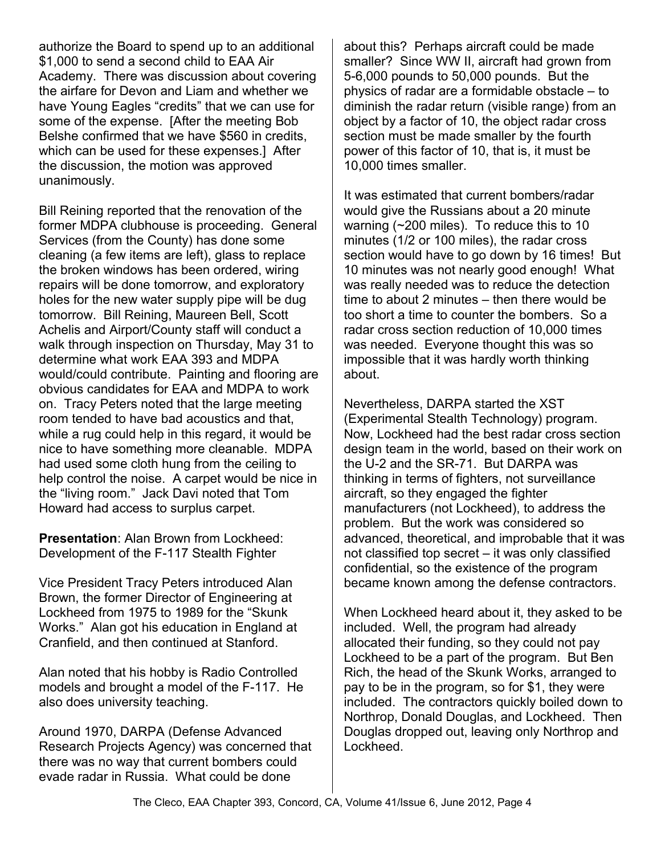authorize the Board to spend up to an additional \$1,000 to send a second child to EAA Air Academy. There was discussion about covering the airfare for Devon and Liam and whether we have Young Eagles "credits" that we can use for some of the expense. [After the meeting Bob Belshe confirmed that we have \$560 in credits, which can be used for these expenses.] After the discussion, the motion was approved unanimously.

Bill Reining reported that the renovation of the former MDPA clubhouse is proceeding. General Services (from the County) has done some cleaning (a few items are left), glass to replace the broken windows has been ordered, wiring repairs will be done tomorrow, and exploratory holes for the new water supply pipe will be dug tomorrow. Bill Reining, Maureen Bell, Scott Achelis and Airport/County staff will conduct a walk through inspection on Thursday, May 31 to determine what work EAA 393 and MDPA would/could contribute. Painting and flooring are obvious candidates for EAA and MDPA to work on. Tracy Peters noted that the large meeting room tended to have bad acoustics and that, while a rug could help in this regard, it would be nice to have something more cleanable. MDPA had used some cloth hung from the ceiling to help control the noise. A carpet would be nice in the "living room." Jack Davi noted that Tom Howard had access to surplus carpet.

**Presentation**: Alan Brown from Lockheed: Development of the F-117 Stealth Fighter

Vice President Tracy Peters introduced Alan Brown, the former Director of Engineering at Lockheed from 1975 to 1989 for the "Skunk Works." Alan got his education in England at Cranfield, and then continued at Stanford.

Alan noted that his hobby is Radio Controlled models and brought a model of the F-117. He also does university teaching.

Around 1970, DARPA (Defense Advanced Research Projects Agency) was concerned that there was no way that current bombers could evade radar in Russia. What could be done

about this? Perhaps aircraft could be made smaller? Since WW II, aircraft had grown from 5-6,000 pounds to 50,000 pounds. But the physics of radar are a formidable obstacle – to diminish the radar return (visible range) from an object by a factor of 10, the object radar cross section must be made smaller by the fourth power of this factor of 10, that is, it must be 10,000 times smaller.

It was estimated that current bombers/radar would give the Russians about a 20 minute warning (~200 miles). To reduce this to 10 minutes (1/2 or 100 miles), the radar cross section would have to go down by 16 times! But 10 minutes was not nearly good enough! What was really needed was to reduce the detection time to about 2 minutes – then there would be too short a time to counter the bombers. So a radar cross section reduction of 10,000 times was needed. Everyone thought this was so impossible that it was hardly worth thinking about.

Nevertheless, DARPA started the XST (Experimental Stealth Technology) program. Now, Lockheed had the best radar cross section design team in the world, based on their work on the U-2 and the SR-71. But DARPA was thinking in terms of fighters, not surveillance aircraft, so they engaged the fighter manufacturers (not Lockheed), to address the problem. But the work was considered so advanced, theoretical, and improbable that it was not classified top secret – it was only classified confidential, so the existence of the program became known among the defense contractors.

When Lockheed heard about it, they asked to be included. Well, the program had already allocated their funding, so they could not pay Lockheed to be a part of the program. But Ben Rich, the head of the Skunk Works, arranged to pay to be in the program, so for \$1, they were included. The contractors quickly boiled down to Northrop, Donald Douglas, and Lockheed. Then Douglas dropped out, leaving only Northrop and Lockheed.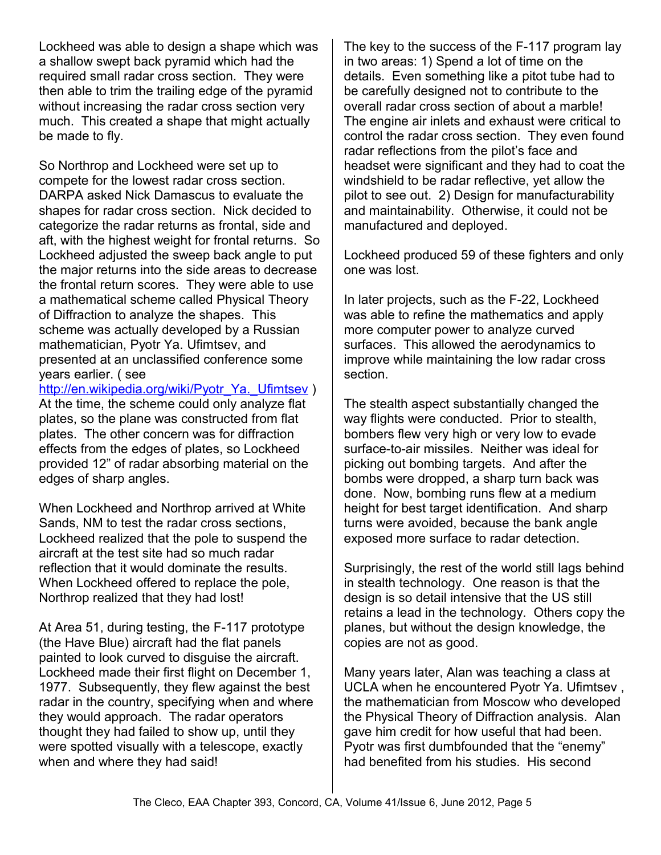Lockheed was able to design a shape which was a shallow swept back pyramid which had the required small radar cross section. They were then able to trim the trailing edge of the pyramid without increasing the radar cross section very much. This created a shape that might actually be made to fly.

So Northrop and Lockheed were set up to compete for the lowest radar cross section. DARPA asked Nick Damascus to evaluate the shapes for radar cross section. Nick decided to categorize the radar returns as frontal, side and aft, with the highest weight for frontal returns. So Lockheed adjusted the sweep back angle to put the major returns into the side areas to decrease the frontal return scores. They were able to use a mathematical scheme called Physical Theory of Diffraction to analyze the shapes. This scheme was actually developed by a Russian mathematician, Pyotr Ya. Ufimtsev, and presented at an unclassified conference some years earlier. ( see

http://en.wikipedia.org/wiki/Pyotr\_Ya.\_Ufimtsev ) At the time, the scheme could only analyze flat plates, so the plane was constructed from flat plates. The other concern was for diffraction effects from the edges of plates, so Lockheed provided 12" of radar absorbing material on the edges of sharp angles.

When Lockheed and Northrop arrived at White Sands, NM to test the radar cross sections, Lockheed realized that the pole to suspend the aircraft at the test site had so much radar reflection that it would dominate the results. When Lockheed offered to replace the pole, Northrop realized that they had lost!

At Area 51, during testing, the F-117 prototype (the Have Blue) aircraft had the flat panels painted to look curved to disguise the aircraft. Lockheed made their first flight on December 1, 1977. Subsequently, they flew against the best radar in the country, specifying when and where they would approach. The radar operators thought they had failed to show up, until they were spotted visually with a telescope, exactly when and where they had said!

The key to the success of the F-117 program lay in two areas: 1) Spend a lot of time on the details. Even something like a pitot tube had to be carefully designed not to contribute to the overall radar cross section of about a marble! The engine air inlets and exhaust were critical to control the radar cross section. They even found radar reflections from the pilot's face and headset were significant and they had to coat the windshield to be radar reflective, yet allow the pilot to see out. 2) Design for manufacturability and maintainability. Otherwise, it could not be manufactured and deployed.

Lockheed produced 59 of these fighters and only one was lost.

In later projects, such as the F-22, Lockheed was able to refine the mathematics and apply more computer power to analyze curved surfaces. This allowed the aerodynamics to improve while maintaining the low radar cross section.

The stealth aspect substantially changed the way flights were conducted. Prior to stealth, bombers flew very high or very low to evade surface-to-air missiles. Neither was ideal for picking out bombing targets. And after the bombs were dropped, a sharp turn back was done. Now, bombing runs flew at a medium height for best target identification. And sharp turns were avoided, because the bank angle exposed more surface to radar detection.

Surprisingly, the rest of the world still lags behind in stealth technology. One reason is that the design is so detail intensive that the US still retains a lead in the technology. Others copy the planes, but without the design knowledge, the copies are not as good.

Many years later, Alan was teaching a class at UCLA when he encountered Pyotr Ya. Ufimtsev , the mathematician from Moscow who developed the Physical Theory of Diffraction analysis. Alan gave him credit for how useful that had been. Pyotr was first dumbfounded that the "enemy" had benefited from his studies. His second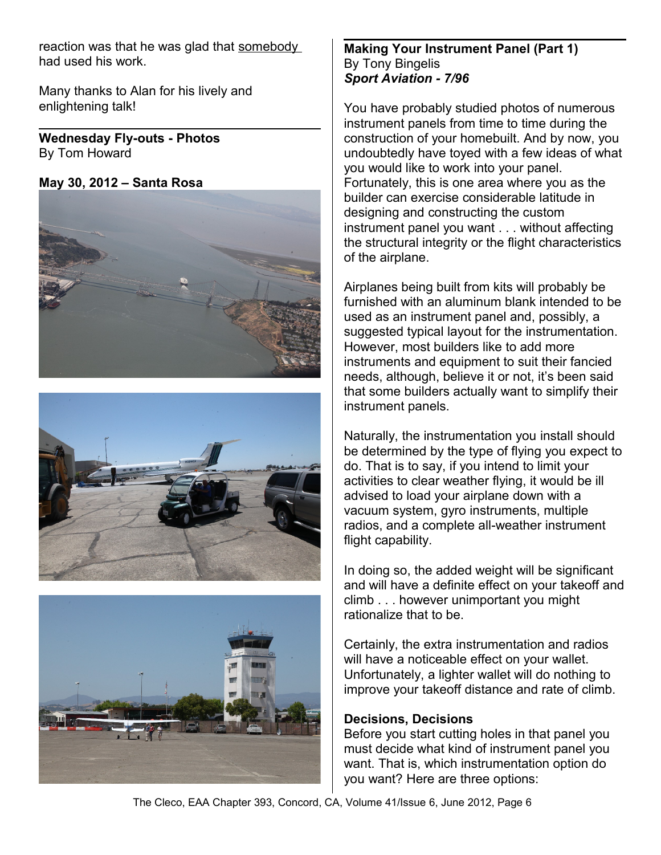reaction was that he was glad that somebody had used his work.

Many thanks to Alan for his lively and enlightening talk!

**Wednesday Fly-outs - Photos** By Tom Howard

**May 30, 2012 – Santa Rosa**







## **Making Your Instrument Panel (Part 1)** By Tony Bingelis *Sport Aviation - 7/96*

You have probably studied photos of numerous instrument panels from time to time during the construction of your homebuilt. And by now, you undoubtedly have toyed with a few ideas of what you would like to work into your panel. Fortunately, this is one area where you as the builder can exercise considerable latitude in designing and constructing the custom instrument panel you want . . . without affecting the structural integrity or the flight characteristics of the airplane.

Airplanes being built from kits will probably be furnished with an aluminum blank intended to be used as an instrument panel and, possibly, a suggested typical layout for the instrumentation. However, most builders like to add more instruments and equipment to suit their fancied needs, although, believe it or not, it's been said that some builders actually want to simplify their instrument panels.

Naturally, the instrumentation you install should be determined by the type of flying you expect to do. That is to say, if you intend to limit your activities to clear weather flying, it would be ill advised to load your airplane down with a vacuum system, gyro instruments, multiple radios, and a complete all-weather instrument flight capability.

In doing so, the added weight will be significant and will have a definite effect on your takeoff and climb . . . however unimportant you might rationalize that to be.

Certainly, the extra instrumentation and radios will have a noticeable effect on your wallet. Unfortunately, a lighter wallet will do nothing to improve your takeoff distance and rate of climb.

# **Decisions, Decisions**

Before you start cutting holes in that panel you must decide what kind of instrument panel you want. That is, which instrumentation option do you want? Here are three options: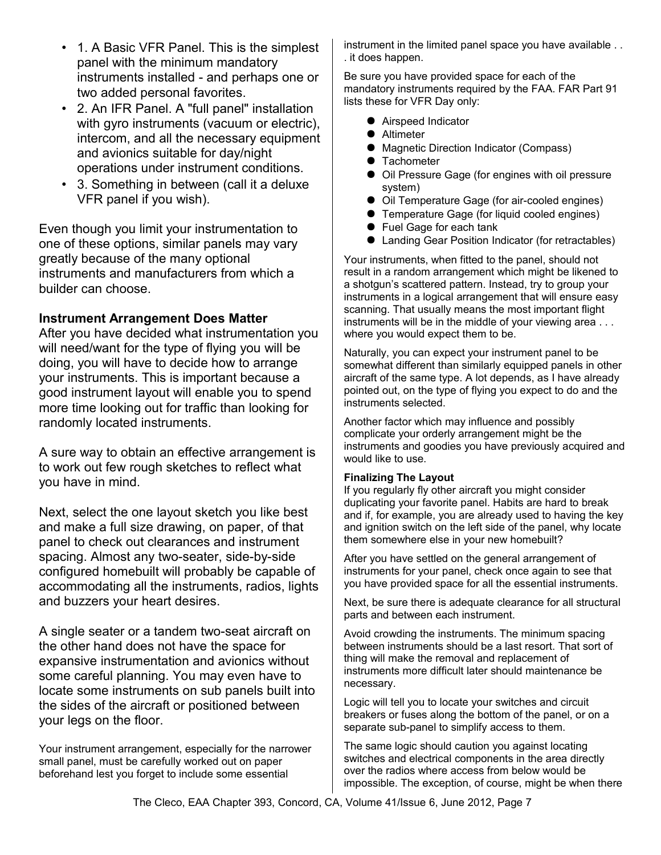- 1. A Basic VFR Panel. This is the simplest panel with the minimum mandatory instruments installed - and perhaps one or two added personal favorites.
- 2. An IFR Panel. A "full panel" installation with gyro instruments (vacuum or electric), intercom, and all the necessary equipment and avionics suitable for day/night operations under instrument conditions.
- 3. Something in between (call it a deluxe VFR panel if you wish).

Even though you limit your instrumentation to one of these options, similar panels may vary greatly because of the many optional instruments and manufacturers from which a builder can choose.

#### **Instrument Arrangement Does Matter**

After you have decided what instrumentation you will need/want for the type of flying you will be doing, you will have to decide how to arrange your instruments. This is important because a good instrument layout will enable you to spend more time looking out for traffic than looking for randomly located instruments.

A sure way to obtain an effective arrangement is to work out few rough sketches to reflect what you have in mind.

Next, select the one layout sketch you like best and make a full size drawing, on paper, of that panel to check out clearances and instrument spacing. Almost any two-seater, side-by-side configured homebuilt will probably be capable of accommodating all the instruments, radios, lights and buzzers your heart desires.

A single seater or a tandem two-seat aircraft on the other hand does not have the space for expansive instrumentation and avionics without some careful planning. You may even have to locate some instruments on sub panels built into the sides of the aircraft or positioned between your legs on the floor.

Your instrument arrangement, especially for the narrower small panel, must be carefully worked out on paper beforehand lest you forget to include some essential

instrument in the limited panel space you have available . . . it does happen.

Be sure you have provided space for each of the mandatory instruments required by the FAA. FAR Part 91 lists these for VFR Day only:

- Airspeed Indicator
- **Altimeter**
- Magnetic Direction Indicator (Compass)
- **•** Tachometer
- Oil Pressure Gage (for engines with oil pressure system)
- Oil Temperature Gage (for air-cooled engines)
- **•** Temperature Gage (for liquid cooled engines)
- Fuel Gage for each tank
- Landing Gear Position Indicator (for retractables)

Your instruments, when fitted to the panel, should not result in a random arrangement which might be likened to a shotgun's scattered pattern. Instead, try to group your instruments in a logical arrangement that will ensure easy scanning. That usually means the most important flight instruments will be in the middle of your viewing area . . . where you would expect them to be.

Naturally, you can expect your instrument panel to be somewhat different than similarly equipped panels in other aircraft of the same type. A lot depends, as I have already pointed out, on the type of flying you expect to do and the instruments selected.

Another factor which may influence and possibly complicate your orderly arrangement might be the instruments and goodies you have previously acquired and would like to use.

#### **Finalizing The Layout**

If you regularly fly other aircraft you might consider duplicating your favorite panel. Habits are hard to break and if, for example, you are already used to having the key and ignition switch on the left side of the panel, why locate them somewhere else in your new homebuilt?

After you have settled on the general arrangement of instruments for your panel, check once again to see that you have provided space for all the essential instruments.

Next, be sure there is adequate clearance for all structural parts and between each instrument.

Avoid crowding the instruments. The minimum spacing between instruments should be a last resort. That sort of thing will make the removal and replacement of instruments more difficult later should maintenance be necessary.

Logic will tell you to locate your switches and circuit breakers or fuses along the bottom of the panel, or on a separate sub-panel to simplify access to them.

The same logic should caution you against locating switches and electrical components in the area directly over the radios where access from below would be impossible. The exception, of course, might be when there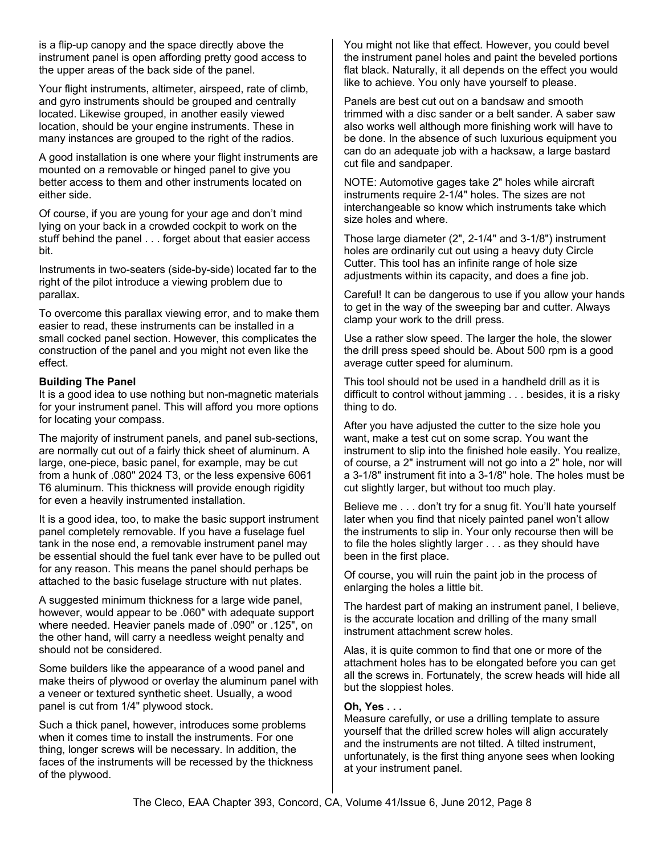is a flip-up canopy and the space directly above the instrument panel is open affording pretty good access to the upper areas of the back side of the panel.

Your flight instruments, altimeter, airspeed, rate of climb, and gyro instruments should be grouped and centrally located. Likewise grouped, in another easily viewed location, should be your engine instruments. These in many instances are grouped to the right of the radios.

A good installation is one where your flight instruments are mounted on a removable or hinged panel to give you better access to them and other instruments located on either side.

Of course, if you are young for your age and don't mind lying on your back in a crowded cockpit to work on the stuff behind the panel . . . forget about that easier access bit.

Instruments in two-seaters (side-by-side) located far to the right of the pilot introduce a viewing problem due to parallax.

To overcome this parallax viewing error, and to make them easier to read, these instruments can be installed in a small cocked panel section. However, this complicates the construction of the panel and you might not even like the effect.

#### **Building The Panel**

It is a good idea to use nothing but non-magnetic materials for your instrument panel. This will afford you more options for locating your compass.

The majority of instrument panels, and panel sub-sections, are normally cut out of a fairly thick sheet of aluminum. A large, one-piece, basic panel, for example, may be cut from a hunk of .080" 2024 T3, or the less expensive 6061 T6 aluminum. This thickness will provide enough rigidity for even a heavily instrumented installation.

It is a good idea, too, to make the basic support instrument panel completely removable. If you have a fuselage fuel tank in the nose end, a removable instrument panel may be essential should the fuel tank ever have to be pulled out for any reason. This means the panel should perhaps be attached to the basic fuselage structure with nut plates.

A suggested minimum thickness for a large wide panel, however, would appear to be .060" with adequate support where needed. Heavier panels made of .090" or .125", on the other hand, will carry a needless weight penalty and should not be considered.

Some builders like the appearance of a wood panel and make theirs of plywood or overlay the aluminum panel with a veneer or textured synthetic sheet. Usually, a wood panel is cut from 1/4" plywood stock.

Such a thick panel, however, introduces some problems when it comes time to install the instruments. For one thing, longer screws will be necessary. In addition, the faces of the instruments will be recessed by the thickness of the plywood.

You might not like that effect. However, you could bevel the instrument panel holes and paint the beveled portions flat black. Naturally, it all depends on the effect you would like to achieve. You only have yourself to please.

Panels are best cut out on a bandsaw and smooth trimmed with a disc sander or a belt sander. A saber saw also works well although more finishing work will have to be done. In the absence of such luxurious equipment you can do an adequate job with a hacksaw, a large bastard cut file and sandpaper.

NOTE: Automotive gages take 2" holes while aircraft instruments require 2-1/4" holes. The sizes are not interchangeable so know which instruments take which size holes and where.

Those large diameter (2", 2-1/4" and 3-1/8") instrument holes are ordinarily cut out using a heavy duty Circle Cutter. This tool has an infinite range of hole size adjustments within its capacity, and does a fine job.

Careful! It can be dangerous to use if you allow your hands to get in the way of the sweeping bar and cutter. Always clamp your work to the drill press.

Use a rather slow speed. The larger the hole, the slower the drill press speed should be. About 500 rpm is a good average cutter speed for aluminum.

This tool should not be used in a handheld drill as it is difficult to control without jamming . . . besides, it is a risky thing to do.

After you have adjusted the cutter to the size hole you want, make a test cut on some scrap. You want the instrument to slip into the finished hole easily. You realize, of course, a 2" instrument will not go into a 2" hole, nor will a 3-1/8" instrument fit into a 3-1/8" hole. The holes must be cut slightly larger, but without too much play.

Believe me . . . don't try for a snug fit. You'll hate yourself later when you find that nicely painted panel won't allow the instruments to slip in. Your only recourse then will be to file the holes slightly larger . . . as they should have been in the first place.

Of course, you will ruin the paint job in the process of enlarging the holes a little bit.

The hardest part of making an instrument panel, I believe, is the accurate location and drilling of the many small instrument attachment screw holes.

Alas, it is quite common to find that one or more of the attachment holes has to be elongated before you can get all the screws in. Fortunately, the screw heads will hide all but the sloppiest holes.

#### **Oh, Yes . . .**

Measure carefully, or use a drilling template to assure yourself that the drilled screw holes will align accurately and the instruments are not tilted. A tilted instrument, unfortunately, is the first thing anyone sees when looking at your instrument panel.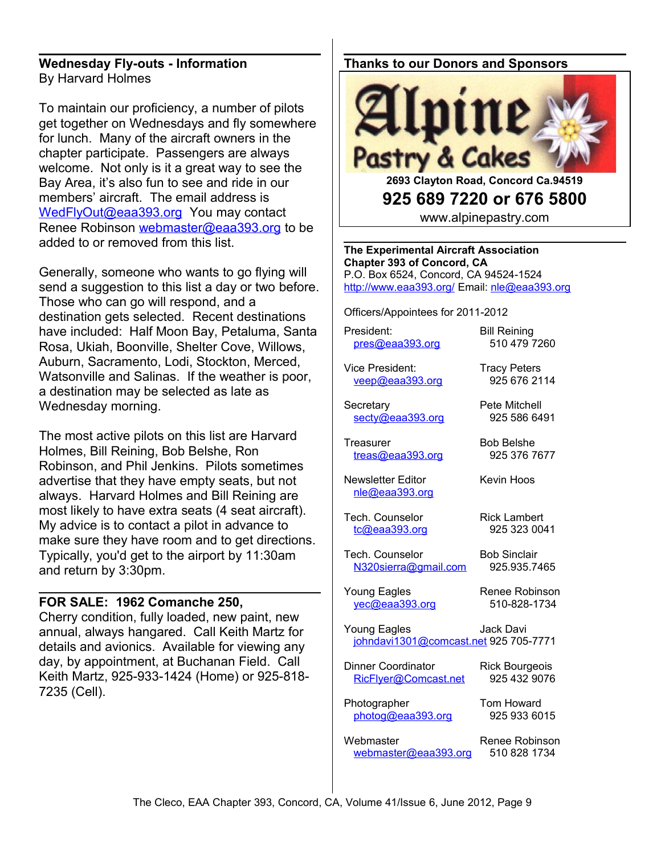#### **Wednesday Fly-outs - Information** By Harvard Holmes

To maintain our proficiency, a number of pilots get together on Wednesdays and fly somewhere for lunch. Many of the aircraft owners in the chapter participate. Passengers are always welcome. Not only is it a great way to see the Bay Area, it's also fun to see and ride in our members' aircraft. The email address is [WedFlyOut@eaa393.org](mailto:WedFlyOut@eaa393.org) You may contact Renee Robinson [webmaster@eaa393.org](mailto:webmaster@eaa393.org) to be added to or removed from this list.

Generally, someone who wants to go flying will send a suggestion to this list a day or two before. Those who can go will respond, and a destination gets selected. Recent destinations have included: Half Moon Bay, Petaluma, Santa Rosa, Ukiah, Boonville, Shelter Cove, Willows, Auburn, Sacramento, Lodi, Stockton, Merced, Watsonville and Salinas. If the weather is poor, a destination may be selected as late as Wednesday morning.

The most active pilots on this list are Harvard Holmes, Bill Reining, Bob Belshe, Ron Robinson, and Phil Jenkins. Pilots sometimes advertise that they have empty seats, but not always. Harvard Holmes and Bill Reining are most likely to have extra seats (4 seat aircraft). My advice is to contact a pilot in advance to make sure they have room and to get directions. Typically, you'd get to the airport by 11:30am and return by 3:30pm.

#### **FOR SALE: 1962 Comanche 250,**

Cherry condition, fully loaded, new paint, new annual, always hangared. Call Keith Martz for details and avionics. Available for viewing any day, by appointment, at Buchanan Field. Call Keith Martz, 925-933-1424 (Home) or 925-818- 7235 (Cell).

## **Thanks to our Donors and Sponsors**



**925 689 7220 or 676 5800**

www.alpinepastry.com

**The Experimental Aircraft Association Chapter 393 of Concord, CA** P.O. Box 6524, Concord, CA 94524-1524 <http://www.eaa393.org/>Email: [nle@eaa393.org](mailto:nle@eaa393.org)

Officers/Appointees for 2011-2012

President: Bill Reining [pres@eaa393.org](mailto:pres@eaa393.org) 510 479 7260

Vice President: Tracy Peters [veep@eaa393.org](mailto:veep@eaa393.org) 925 676 2114

Secretary **Pete Mitchell** [secty@eaa393.org](mailto:secty@eaa393.org) 925 586 6491

Treasurer Bob Belshe [treas@eaa393.org](mailto:treas@eaa393.org) 925 376 7677

Newsletter Editor **Keyin Hoos** [nle@eaa393.org](mailto:nle@eaa393.org)

Tech. Counselor Rick Lambert [tc@eaa393.org](mailto:tc@eaa393.org) 925 323 0041

Tech. Counselor Bob Sinclair [N320sierra@gmail.com](mailto:N320sierra@gmail.com) 925.935.7465

Young Eagles Renee Robinson [yec@eaa393.org](mailto:yec@eaa393.org) 510-828-1734

Young Eagles **Jack Davi** johndavi1301@comcast.net 925 705-7771

Dinner Coordinator Rick Bourgeois [RicFlyer@Comcast.net](mailto:RicFlyer@Comcast.net) 925 432 9076

Photographer Tom Howard [photog@eaa393.org](mailto:photog@eaa393.org) 925 933 6015

Webmaster Renee Robinson [webmaster@eaa393.org](mailto:webmaster@eaa393.org) 510 828 1734